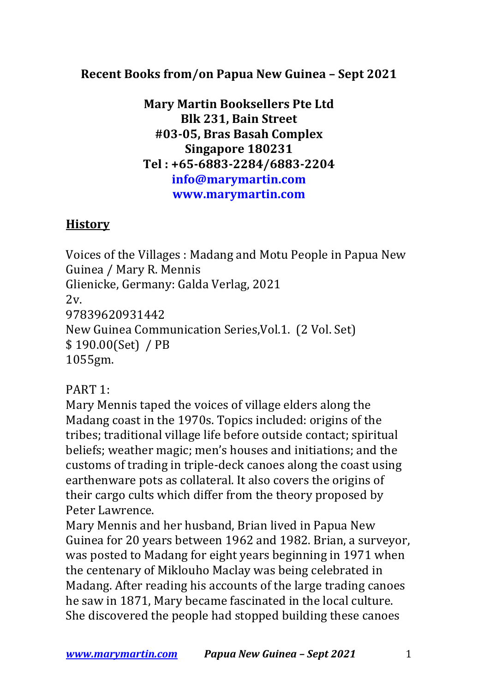## **Recent Books from/on Papua New Guinea – Sept 2021**

**Mary Martin Booksellers Pte Ltd Blk 231, Bain Street #03-05, Bras Basah Complex Singapore 180231 Tel : +65-6883-2284/6883-2204 info@marymartin.com www.marymartin.com**

## **History**

Voices of the Villages : Madang and Motu People in Papua New Guinea / Mary R. Mennis Glienicke, Germany: Galda Verlag, 2021 2v. 97839620931442 New Guinea Communication Series, Vol.1. (2 Vol. Set)  $$190.00(Set) / PB$ 1055gm.

## PART 1:

Mary Mennis taped the voices of village elders along the Madang coast in the 1970s. Topics included: origins of the tribes; traditional village life before outside contact; spiritual beliefs; weather magic; men's houses and initiations; and the customs of trading in triple-deck canoes along the coast using earthenware pots as collateral. It also covers the origins of their cargo cults which differ from the theory proposed by Peter Lawrence.

Mary Mennis and her husband, Brian lived in Papua New Guinea for 20 years between 1962 and 1982. Brian, a surveyor, was posted to Madang for eight years beginning in 1971 when the centenary of Miklouho Maclay was being celebrated in Madang. After reading his accounts of the large trading canoes he saw in 1871, Mary became fascinated in the local culture. She discovered the people had stopped building these canoes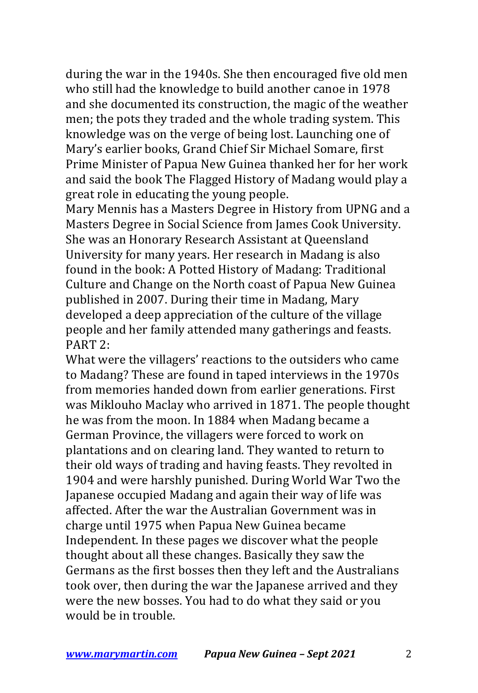during the war in the 1940s. She then encouraged five old men who still had the knowledge to build another canoe in 1978 and she documented its construction, the magic of the weather men; the pots they traded and the whole trading system. This knowledge was on the verge of being lost. Launching one of Mary's earlier books, Grand Chief Sir Michael Somare, first Prime Minister of Papua New Guinea thanked her for her work and said the book The Flagged History of Madang would play a great role in educating the young people.

Mary Mennis has a Masters Degree in History from UPNG and a Masters Degree in Social Science from James Cook University. She was an Honorary Research Assistant at Queensland University for many years. Her research in Madang is also found in the book: A Potted History of Madang: Traditional Culture and Change on the North coast of Papua New Guinea published in 2007. During their time in Madang, Mary developed a deep appreciation of the culture of the village people and her family attended many gatherings and feasts. PART 2:

What were the villagers' reactions to the outsiders who came to Madang? These are found in taped interviews in the 1970s from memories handed down from earlier generations. First was Miklouho Maclay who arrived in 1871. The people thought he was from the moon. In 1884 when Madang became a German Province, the villagers were forced to work on plantations and on clearing land. They wanted to return to their old ways of trading and having feasts. They revolted in 1904 and were harshly punished. During World War Two the Japanese occupied Madang and again their way of life was affected. After the war the Australian Government was in charge until 1975 when Papua New Guinea became Independent. In these pages we discover what the people thought about all these changes. Basically they saw the Germans as the first bosses then they left and the Australians took over, then during the war the Japanese arrived and they were the new bosses. You had to do what they said or you would be in trouble.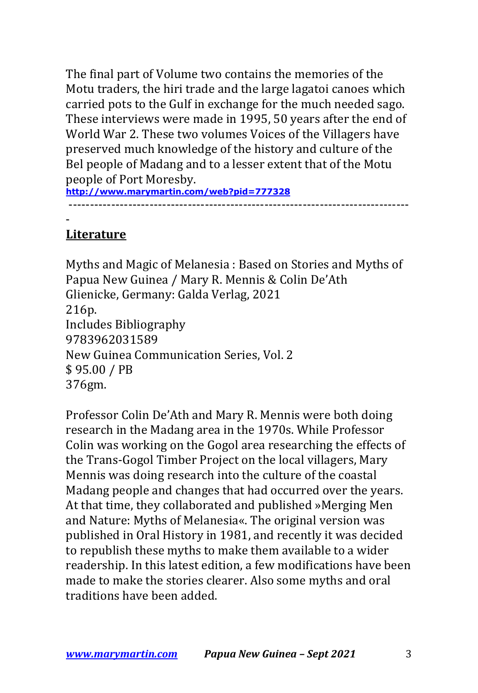The final part of Volume two contains the memories of the Motu traders, the hiri trade and the large lagatoi canoes which carried pots to the Gulf in exchange for the much needed sago. These interviews were made in 1995, 50 years after the end of World War 2. These two volumes Voices of the Villagers have preserved much knowledge of the history and culture of the Bel people of Madang and to a lesser extent that of the Motu people of Port Moresby.

**http://www.marymartin.com/web?pid=777328** --------------------------------------------------------------------------------

## - **Literature**

Myths and Magic of Melanesia: Based on Stories and Myths of Papua New Guinea / Mary R. Mennis & Colin De'Ath Glienicke, Germany: Galda Verlag, 2021 216p. Includes Bibliography 9783962031589 New Guinea Communication Series, Vol. 2 \$ 95.00 / PB 376gm.

Professor Colin De'Ath and Mary R. Mennis were both doing research in the Madang area in the 1970s. While Professor Colin was working on the Gogol area researching the effects of the Trans-Gogol Timber Project on the local villagers, Mary Mennis was doing research into the culture of the coastal Madang people and changes that had occurred over the years. At that time, they collaborated and published »Merging Men and Nature: Myths of Melanesia«. The original version was published in Oral History in 1981, and recently it was decided to republish these myths to make them available to a wider readership. In this latest edition, a few modifications have been made to make the stories clearer. Also some myths and oral traditions have been added.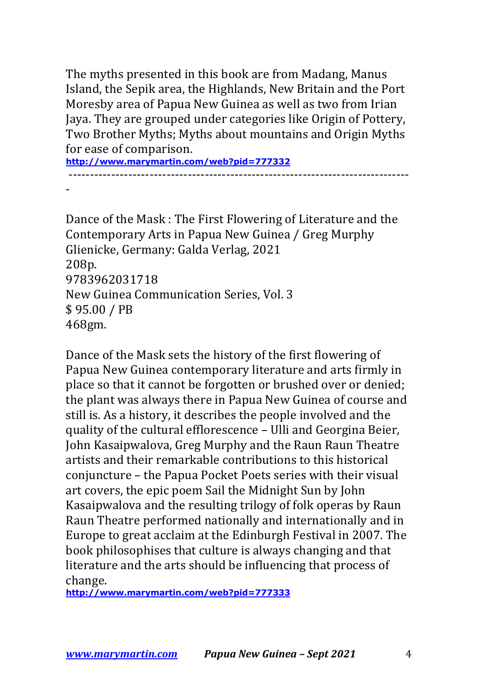The myths presented in this book are from Madang, Manus Island, the Sepik area, the Highlands, New Britain and the Port Moresby area of Papua New Guinea as well as two from Irian Jaya. They are grouped under categories like Origin of Pottery, Two Brother Myths; Myths about mountains and Origin Myths for ease of comparison.

**http://www.marymartin.com/web?pid=777332** --------------------------------------------------------------------------------

-

Dance of the Mask: The First Flowering of Literature and the Contemporary Arts in Papua New Guinea / Greg Murphy Glienicke, Germany: Galda Verlag, 2021 208p. 9783962031718 New Guinea Communication Series, Vol. 3 \$ 95.00 / PB 468gm.

Dance of the Mask sets the history of the first flowering of Papua New Guinea contemporary literature and arts firmly in place so that it cannot be forgotten or brushed over or denied; the plant was always there in Papua New Guinea of course and still is. As a history, it describes the people involved and the quality of the cultural efflorescence - Ulli and Georgina Beier, John Kasaipwalova, Greg Murphy and the Raun Raun Theatre artists and their remarkable contributions to this historical conjuncture - the Papua Pocket Poets series with their visual art covers, the epic poem Sail the Midnight Sun by John Kasaipwalova and the resulting trilogy of folk operas by Raun Raun Theatre performed nationally and internationally and in Europe to great acclaim at the Edinburgh Festival in 2007. The book philosophises that culture is always changing and that literature and the arts should be influencing that process of change.

**http://www.marymartin.com/web?pid=777333**